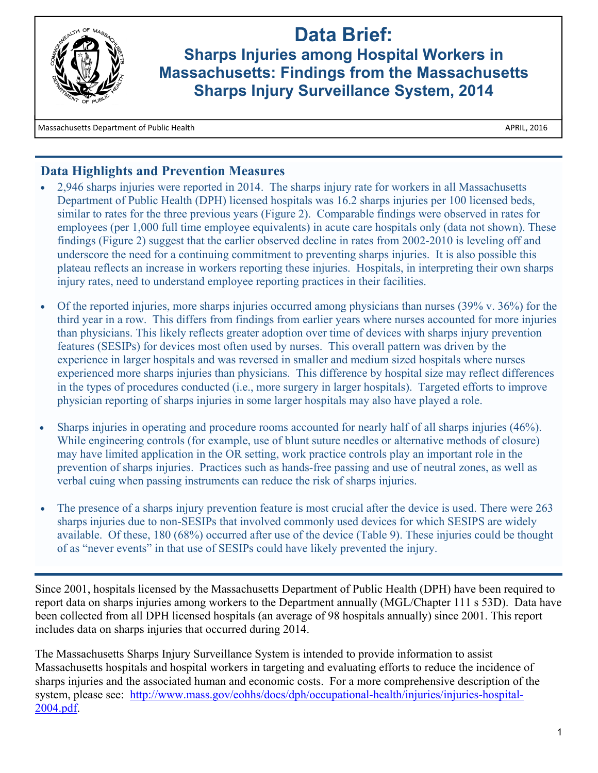

# **Data Brief:**

**Sharps Injuries among Hospital Workers in Massachusetts: Findings from the Massachusetts Sharps Injury Surveillance System, 2014**

Massachusetts Department of Public Health APRIL, 2016

## **Data Highlights and Prevention Measures**

- 2,946 sharps injuries were reported in 2014. The sharps injury rate for workers in all Massachusetts Department of Public Health (DPH) licensed hospitals was 16.2 sharps injuries per 100 licensed beds, similar to rates for the three previous years (Figure 2). Comparable findings were observed in rates for employees (per 1,000 full time employee equivalents) in acute care hospitals only (data not shown). These findings (Figure 2) suggest that the earlier observed decline in rates from 2002-2010 is leveling off and underscore the need for a continuing commitment to preventing sharps injuries. It is also possible this plateau reflects an increase in workers reporting these injuries. Hospitals, in interpreting their own sharps injury rates, need to understand employee reporting practices in their facilities.
- Of the reported injuries, more sharps injuries occurred among physicians than nurses (39% v. 36%) for the third year in a row. This differs from findings from earlier years where nurses accounted for more injuries than physicians. This likely reflects greater adoption over time of devices with sharps injury prevention features (SESIPs) for devices most often used by nurses. This overall pattern was driven by the experience in larger hospitals and was reversed in smaller and medium sized hospitals where nurses experienced more sharps injuries than physicians. This difference by hospital size may reflect differences in the types of procedures conducted (i.e., more surgery in larger hospitals). Targeted efforts to improve physician reporting of sharps injuries in some larger hospitals may also have played a role.
- Sharps injuries in operating and procedure rooms accounted for nearly half of all sharps injuries (46%). While engineering controls (for example, use of blunt suture needles or alternative methods of closure) may have limited application in the OR setting, work practice controls play an important role in the prevention of sharps injuries. Practices such as hands-free passing and use of neutral zones, as well as verbal cuing when passing instruments can reduce the risk of sharps injuries.
- The presence of a sharps injury prevention feature is most crucial after the device is used. There were 263 sharps injuries due to non-SESIPs that involved commonly used devices for which SESIPS are widely available. Of these, 180 (68%) occurred after use of the device (Table 9). These injuries could be thought of as "never events" in that use of SESIPs could have likely prevented the injury.

Since 2001, hospitals licensed by the Massachusetts Department of Public Health (DPH) have been required to report data on sharps injuries among workers to the Department annually (MGL/Chapter 111 s 53D). Data have been collected from all DPH licensed hospitals (an average of 98 hospitals annually) since 2001. This report includes data on sharps injuries that occurred during 2014.

The Massachusetts Sharps Injury Surveillance System is intended to provide information to assist Massachusetts hospitals and hospital workers in targeting and evaluating efforts to reduce the incidence of sharps injuries and the associated human and economic costs. For a more comprehensive description of the system, please see: http://www.mass.gov/eohhs/docs/dph/occupational-health/injuries/injuries-hospital-2004.pdf.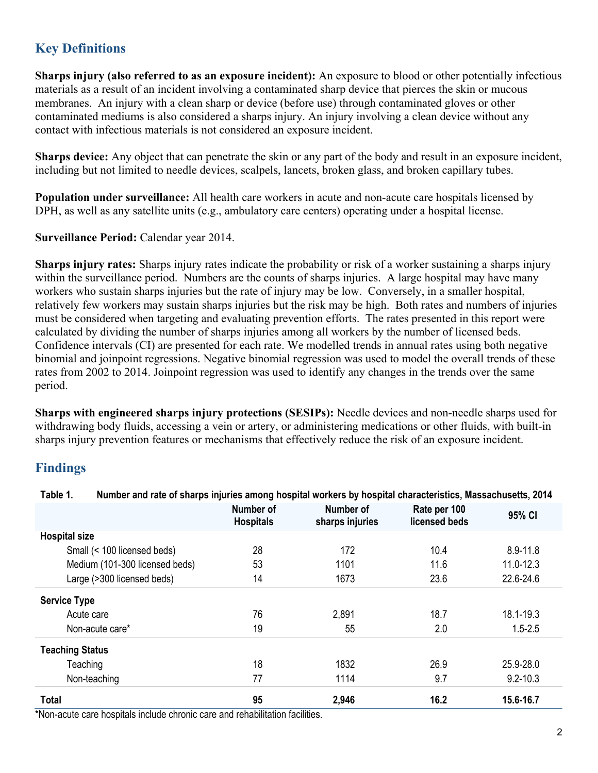### **Key Definitions**

**Sharps injury (also referred to as an exposure incident):** An exposure to blood or other potentially infectious materials as a result of an incident involving a contaminated sharp device that pierces the skin or mucous membranes. An injury with a clean sharp or device (before use) through contaminated gloves or other contaminated mediums is also considered a sharps injury. An injury involving a clean device without any contact with infectious materials is not considered an exposure incident.

**Sharps device:** Any object that can penetrate the skin or any part of the body and result in an exposure incident, including but not limited to needle devices, scalpels, lancets, broken glass, and broken capillary tubes.

**Population under surveillance:** All health care workers in acute and non-acute care hospitals licensed by DPH, as well as any satellite units (e.g., ambulatory care centers) operating under a hospital license.

**Surveillance Period:** Calendar year 2014.

**Sharps injury rates:** Sharps injury rates indicate the probability or risk of a worker sustaining a sharps injury within the surveillance period. Numbers are the counts of sharps injuries. A large hospital may have many workers who sustain sharps injuries but the rate of injury may be low. Conversely, in a smaller hospital, relatively few workers may sustain sharps injuries but the risk may be high. Both rates and numbers of injuries must be considered when targeting and evaluating prevention efforts. The rates presented in this report were calculated by dividing the number of sharps injuries among all workers by the number of licensed beds. Confidence intervals (CI) are presented for each rate. We modelled trends in annual rates using both negative binomial and joinpoint regressions. Negative binomial regression was used to model the overall trends of these rates from 2002 to 2014. Joinpoint regression was used to identify any changes in the trends over the same period.

**Sharps with engineered sharps injury protections (SESIPs):** Needle devices and non-needle sharps used for withdrawing body fluids, accessing a vein or artery, or administering medications or other fluids, with built-in sharps injury prevention features or mechanisms that effectively reduce the risk of an exposure incident.

### **Findings**

|                                | Number of<br><b>Hospitals</b> | Number of<br>sharps injuries | Rate per 100<br>licensed beds | 95% CI       |
|--------------------------------|-------------------------------|------------------------------|-------------------------------|--------------|
| <b>Hospital size</b>           |                               |                              |                               |              |
| Small (< 100 licensed beds)    | 28                            | 172                          | 10.4                          | $8.9 - 11.8$ |
| Medium (101-300 licensed beds) | 53                            | 1101                         | 11.6                          | 11.0-12.3    |
| Large (>300 licensed beds)     | 14                            | 1673                         | 23.6                          | 22.6-24.6    |
| <b>Service Type</b>            |                               |                              |                               |              |
| Acute care                     | 76                            | 2,891                        | 18.7                          | 18.1-19.3    |
| Non-acute care*                | 19                            | 55                           | 2.0                           | $1.5 - 2.5$  |
| <b>Teaching Status</b>         |                               |                              |                               |              |
| Teaching                       | 18                            | 1832                         | 26.9                          | 25.9-28.0    |
| Non-teaching                   | 77                            | 1114                         | 9.7                           | $9.2 - 10.3$ |
| <b>Total</b>                   | 95                            | 2,946                        | 16.2                          | 15.6-16.7    |

**Table 1. Number and rate of sharps injuries among hospital workers by hospital characteristics, Massachusetts, 2014** 

\*Non-acute care hospitals include chronic care and rehabilitation facilities.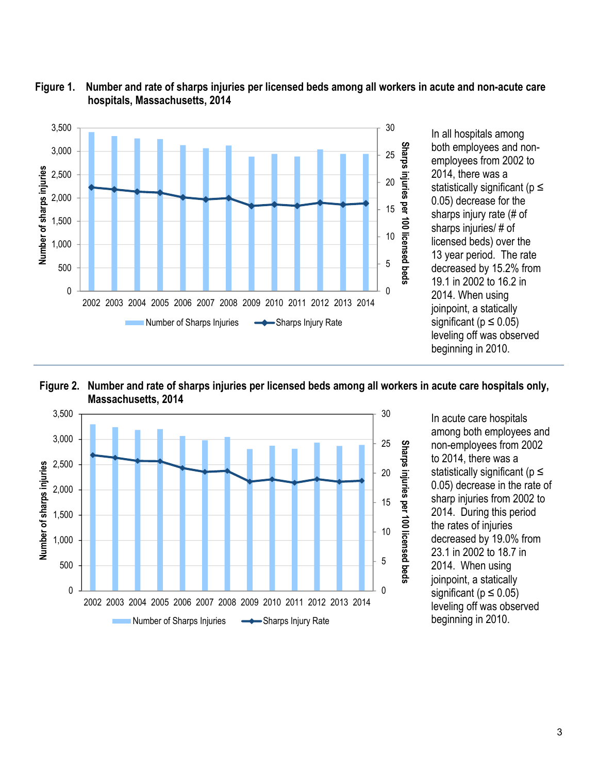

**Figure 1. Number and rate of sharps injuries per licensed beds among all workers in acute and non-acute care hospitals, Massachusetts, 2014** 



**Figure 2. Number and rate of sharps injuries per licensed beds among all workers in acute care hospitals only, Massachusetts, 2014** 



In acute care hospitals among both employees and non-employees from 2002 to 2014, there was a statistically significant ( $p \leq$ 0.05) decrease in the rate of sharp injuries from 2002 to 2014. During this period the rates of injuries decreased by 19.0% from 23.1 in 2002 to 18.7 in 2014. When using joinpoint, a statically significant ( $p \le 0.05$ ) leveling off was observed beginning in 2010.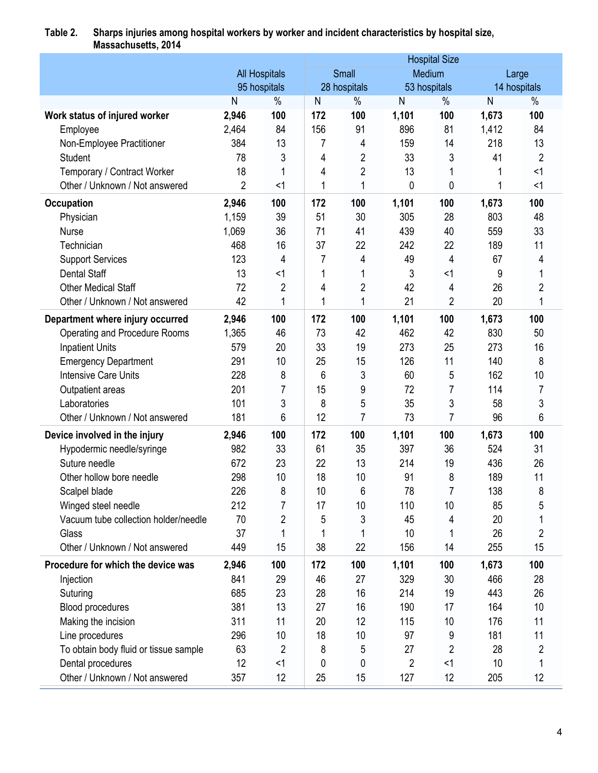| Massachusetts, 2014                   |                |                      |     |                |                |                      |       |                |
|---------------------------------------|----------------|----------------------|-----|----------------|----------------|----------------------|-------|----------------|
|                                       |                |                      |     |                |                | <b>Hospital Size</b> |       |                |
|                                       |                | <b>All Hospitals</b> |     | Small          |                | Medium               |       | Large          |
|                                       |                | 95 hospitals         |     | 28 hospitals   |                | 53 hospitals         |       | 14 hospitals   |
|                                       | N              | $\%$                 | N   | $\%$           | N              | $\%$                 | N     | $\%$           |
| Work status of injured worker         | 2,946          | 100                  | 172 | 100            | 1,101          | 100                  | 1,673 | 100            |
| Employee                              | 2,464          | 84                   | 156 | 91             | 896            | 81                   | 1,412 | 84             |
| Non-Employee Practitioner             | 384            | 13                   | 7   | 4              | 159            | 14                   | 218   | 13             |
| <b>Student</b>                        | 78             | 3                    | 4   | $\overline{2}$ | 33             | 3                    | 41    | $\overline{2}$ |
| Temporary / Contract Worker           | 18             |                      | 4   | $\overline{2}$ | 13             |                      |       | <1             |
| Other / Unknown / Not answered        | $\overline{2}$ | $<$ 1                | 1   | 1              | 0              | 0                    |       | <1             |
| Occupation                            | 2,946          | 100                  | 172 | 100            | 1,101          | 100                  | 1,673 | 100            |
| Physician                             | 1,159          | 39                   | 51  | 30             | 305            | 28                   | 803   | 48             |
| <b>Nurse</b>                          | 1,069          | 36                   | 71  | 41             | 439            | 40                   | 559   | 33             |
| Technician                            | 468            | 16                   | 37  | 22             | 242            | 22                   | 189   | 11             |
| <b>Support Services</b>               | 123            | 4                    | 7   | 4              | 49             | 4                    | 67    | 4              |
| <b>Dental Staff</b>                   | 13             | $<$ 1                | 1   | 1              | 3              | $<$ 1                | 9     | 1              |
| <b>Other Medical Staff</b>            | 72             | $\overline{2}$       | 4   | $\overline{2}$ | 42             | 4                    | 26    | $\overline{2}$ |
| Other / Unknown / Not answered        | 42             | 1                    | 1   | 1              | 21             | 2                    | 20    | 1              |
| Department where injury occurred      | 2,946          | 100                  | 172 | 100            | 1,101          | 100                  | 1,673 | 100            |
| Operating and Procedure Rooms         | 1,365          | 46                   | 73  | 42             | 462            | 42                   | 830   | 50             |
| <b>Inpatient Units</b>                | 579            | 20                   | 33  | 19             | 273            | 25                   | 273   | 16             |
| <b>Emergency Department</b>           | 291            | 10                   | 25  | 15             | 126            | 11                   | 140   | 8              |
| <b>Intensive Care Units</b>           | 228            | 8                    | 6   | 3              | 60             | 5                    | 162   | 10             |
| Outpatient areas                      | 201            | 7                    | 15  | 9              | 72             | 7                    | 114   | 7              |
| Laboratories                          | 101            | 3                    | 8   | 5              | 35             | 3                    | 58    | 3              |
| Other / Unknown / Not answered        | 181            | 6                    | 12  | $\overline{7}$ | 73             | $\overline{7}$       | 96    | 6              |
| Device involved in the injury         | 2,946          | 100                  | 172 | 100            | 1,101          | 100                  | 1,673 | 100            |
| Hypodermic needle/syringe             | 982            | 33                   | 61  | 35             | 397            | 36                   | 524   | 31             |
| Suture needle                         | 672            | 23                   | 22  | 13             | 214            | 19                   | 436   | 26             |
| Other hollow bore needle              | 298            | 10                   | 18  | 10             | 91             | 8                    | 189   | 11             |
| Scalpel blade                         | 226            | 8                    | 10  | 6              | 78             | 7                    | 138   | 8              |
| Winged steel needle                   | 212            | 7                    | 17  | 10             | 110            | 10                   | 85    | 5              |
| Vacuum tube collection holder/needle  | 70             | 2                    | 5   | 3              | 45             | 4                    | 20    |                |
| Glass                                 | 37             |                      | 1   |                | 10             |                      | 26    | 2              |
| Other / Unknown / Not answered        | 449            | 15                   | 38  | 22             | 156            | 14                   | 255   | 15             |
| Procedure for which the device was    | 2,946          | 100                  | 172 | 100            | 1,101          | 100                  | 1,673 | 100            |
| Injection                             | 841            | 29                   | 46  | 27             | 329            | 30                   | 466   | 28             |
| Suturing                              | 685            | 23                   | 28  | 16             | 214            | 19                   | 443   | 26             |
| Blood procedures                      | 381            | 13                   | 27  | 16             | 190            | 17                   | 164   | 10             |
| Making the incision                   | 311            | 11                   | 20  | 12             | 115            | 10                   | 176   | 11             |
| Line procedures                       | 296            | 10                   | 18  | 10             | 97             | 9                    | 181   | 11             |
| To obtain body fluid or tissue sample | 63             | 2                    | 8   | 5              | 27             | $\overline{2}$       | 28    | $\overline{2}$ |
| Dental procedures                     | 12             | <1                   | 0   | 0              | $\overline{2}$ | <1                   | 10    | 1              |
|                                       |                |                      |     |                |                |                      |       |                |

Other / Unknown / Not answered 357 12 25 15 127 12 205 12

#### **Table 2. Sharps injuries among hospital workers by worker and incident characteristics by hospital size, Massachusetts, 2014**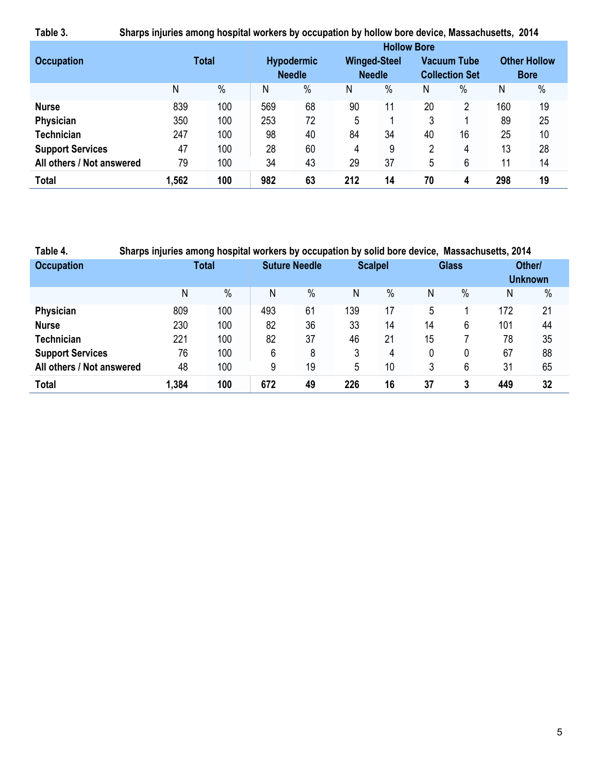**Table 3. Sharps injuries among hospital workers by occupation by hollow bore device, Massachusetts, 2014** 

|                           |       |              |     |                   |     | <b>Hollow Bore</b>  |    |                       |     |                     |
|---------------------------|-------|--------------|-----|-------------------|-----|---------------------|----|-----------------------|-----|---------------------|
| <b>Occupation</b>         |       | <b>Total</b> |     | <b>Hypodermic</b> |     | <b>Winged-Steel</b> |    | <b>Vacuum Tube</b>    |     | <b>Other Hollow</b> |
|                           |       |              |     | <b>Needle</b>     |     | <b>Needle</b>       |    | <b>Collection Set</b> |     | <b>Bore</b>         |
|                           | N     | $\%$         | Ν   | $\frac{0}{0}$     | N   | $\%$                | Ν  | $\%$                  | N   | $\%$                |
| <b>Nurse</b>              | 839   | 100          | 569 | 68                | 90  | 11                  | 20 | $\overline{2}$        | 160 | 19                  |
| Physician                 | 350   | 100          | 253 | 72                | 5   |                     | 3  |                       | 89  | 25                  |
| <b>Technician</b>         | 247   | 100          | 98  | 40                | 84  | 34                  | 40 | 16                    | 25  | 10                  |
| <b>Support Services</b>   | 47    | 100          | 28  | 60                | 4   | 9                   | 2  | 4                     | 13  | 28                  |
| All others / Not answered | 79    | 100          | 34  | 43                | 29  | 37                  | 5  | 6                     | 11  | 14                  |
| <b>Total</b>              | 1,562 | 100          | 982 | 63                | 212 | 14                  | 70 | 4                     | 298 | 19                  |

## **Table 4. Sharps injuries among hospital workers by occupation by solid bore device, Massachusetts, 2014**

| <b>Occupation</b>         | <b>Total</b> |      |     | <b>Suture Needle</b> |     | <b>Scalpel</b> |    | <b>Glass</b> |     | Other/<br><b>Unknown</b> |
|---------------------------|--------------|------|-----|----------------------|-----|----------------|----|--------------|-----|--------------------------|
|                           | N            | $\%$ | N   | $\%$                 | Ν   | $\%$           | Ν  | $\%$         | Ν   | $\%$                     |
| Physician                 | 809          | 100  | 493 | 61                   | 139 | 17             | 5  |              | 172 | 21                       |
| <b>Nurse</b>              | 230          | 100  | 82  | 36                   | 33  | 14             | 14 | 6            | 101 | 44                       |
| <b>Technician</b>         | 221          | 100  | 82  | 37                   | 46  | 21             | 15 |              | 78  | 35                       |
| <b>Support Services</b>   | 76           | 100  | 6   | 8                    | 3   | 4              | 0  | 0            | 67  | 88                       |
| All others / Not answered | 48           | 100  | 9   | 19                   | 5   | 10             | 3  | 6            | 31  | 65                       |
| <b>Total</b>              | 1,384        | 100  | 672 | 49                   | 226 | 16             | 37 | 3            | 449 | 32                       |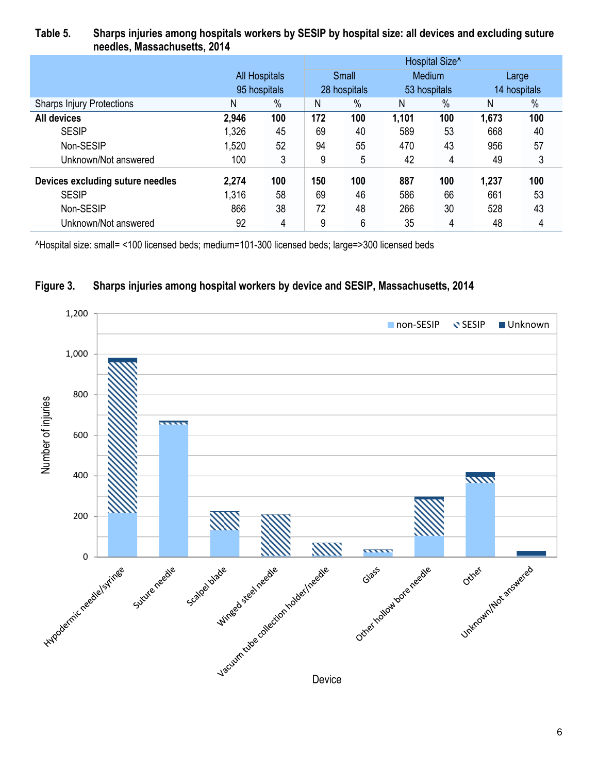#### **Table 5. Sharps injuries among hospitals workers by SESIP by hospital size: all devices and excluding suture needles, Massachusetts, 2014**

|                                  |       |                      | Hospital Size <sup>^</sup> |              |       |              |       |              |  |  |
|----------------------------------|-------|----------------------|----------------------------|--------------|-------|--------------|-------|--------------|--|--|
|                                  |       | <b>All Hospitals</b> |                            | Small        |       | Medium       |       | Large        |  |  |
|                                  |       | 95 hospitals         |                            | 28 hospitals |       | 53 hospitals |       | 14 hospitals |  |  |
| <b>Sharps Injury Protections</b> | N     | $\%$                 | Ν                          | $\%$         | N     | $\%$         | N     | $\%$         |  |  |
| <b>All devices</b>               | 2,946 | 100                  | 172                        | 100          | 1,101 | 100          | 1,673 | 100          |  |  |
| <b>SESIP</b>                     | 1,326 | 45                   | 69                         | 40           | 589   | 53           | 668   | 40           |  |  |
| Non-SESIP                        | 1,520 | 52                   | 94                         | 55           | 470   | 43           | 956   | 57           |  |  |
| Unknown/Not answered             | 100   | 3                    | 9                          | 5            | 42    | 4            | 49    | 3            |  |  |
| Devices excluding suture needles | 2,274 | 100                  | 150                        | 100          | 887   | 100          | 1,237 | 100          |  |  |
| <b>SESIP</b>                     | 1,316 | 58                   | 69                         | 46           | 586   | 66           | 661   | 53           |  |  |
| Non-SESIP                        | 866   | 38                   | 72                         | 48           | 266   | 30           | 528   | 43           |  |  |
| Unknown/Not answered             | 92    | 4                    | 9                          | 6            | 35    | 4            | 48    | 4            |  |  |

^Hospital size: small= <100 licensed beds; medium=101-300 licensed beds; large=>300 licensed beds



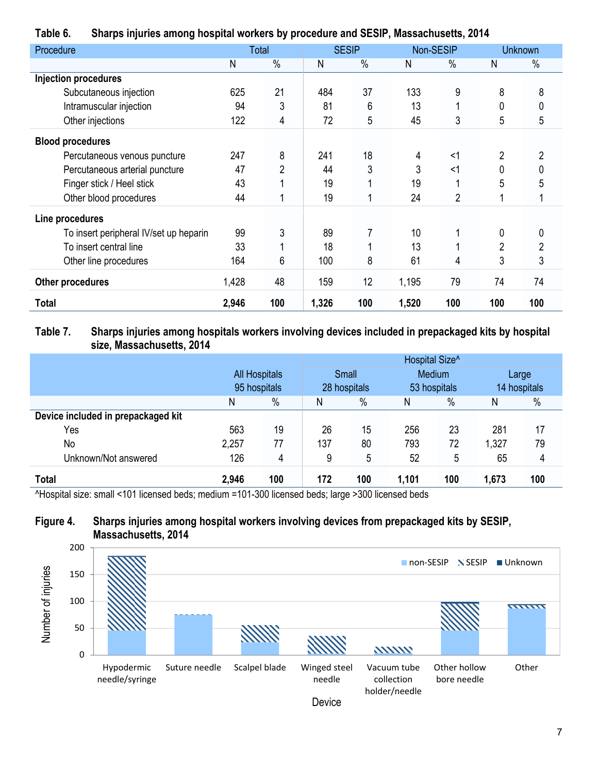| Procedure                              |       | Total         |       | <b>SESIP</b> |       | Non-SESIP |                | <b>Unknown</b> |
|----------------------------------------|-------|---------------|-------|--------------|-------|-----------|----------------|----------------|
|                                        | N     | $\frac{0}{0}$ | N     | $\%$         | N     | $\%$      | N              | $\%$           |
| <b>Injection procedures</b>            |       |               |       |              |       |           |                |                |
| Subcutaneous injection                 | 625   | 21            | 484   | 37           | 133   | 9         | 8              | 8              |
| Intramuscular injection                | 94    | 3             | 81    | 6            | 13    |           | 0              | 0              |
| Other injections                       | 122   | 4             | 72    | 5            | 45    | 3         | 5              | 5              |
| <b>Blood procedures</b>                |       |               |       |              |       |           |                |                |
| Percutaneous venous puncture           | 247   | 8             | 241   | 18           | 4     | $<$ 1     | $\overline{2}$ | $\overline{2}$ |
| Percutaneous arterial puncture         | 47    | 2             | 44    | 3            | 3     | <1        | 0              |                |
| Finger stick / Heel stick              | 43    |               | 19    |              | 19    |           | 5              | 5              |
| Other blood procedures                 | 44    |               | 19    | 1            | 24    | 2         |                |                |
| Line procedures                        |       |               |       |              |       |           |                |                |
| To insert peripheral IV/set up heparin | 99    | 3             | 89    | 7            | 10    |           | 0              | 0              |
| To insert central line                 | 33    |               | 18    |              | 13    |           | $\overline{2}$ | $\overline{2}$ |
| Other line procedures                  | 164   | 6             | 100   | 8            | 61    | 4         | 3              | 3              |
| Other procedures                       | 1,428 | 48            | 159   | 12           | 1,195 | 79        | 74             | 74             |
| Total                                  | 2,946 | 100           | 1,326 | 100          | 1,520 | 100       | 100            | 100            |

#### **Table 6. Sharps injuries among hospital workers by procedure and SESIP, Massachusetts, 2014**

**Table 7. Sharps injuries among hospitals workers involving devices included in prepackaged kits by hospital size, Massachusetts, 2014** 

|                                    |       |                      |     |              |       | Hospital Size <sup>^</sup> |       |              |
|------------------------------------|-------|----------------------|-----|--------------|-------|----------------------------|-------|--------------|
|                                    |       | <b>All Hospitals</b> |     | Small        |       | Medium                     | Large |              |
|                                    |       | 95 hospitals         |     | 28 hospitals |       | 53 hospitals               |       | 14 hospitals |
|                                    | N     | $\%$                 | N   | $\%$         | N     | $\%$                       | Ν     | $\%$         |
| Device included in prepackaged kit |       |                      |     |              |       |                            |       |              |
| Yes                                | 563   | 19                   | 26  | 15           | 256   | 23                         | 281   | 17           |
| No                                 | 2,257 | 77                   | 137 | 80           | 793   | 72                         | 1,327 | 79           |
| Unknown/Not answered               | 126   | 4                    | 9   | 5            | 52    | 5                          | 65    | 4            |
| Total                              | 2,946 | 100                  | 172 | 100          | 1,101 | 100                        | 1,673 | 100          |

^Hospital size: small <101 licensed beds; medium =101-300 licensed beds; large >300 licensed beds

#### **Figure 4. Sharps injuries among hospital workers involving devices from prepackaged kits by SESIP, Massachusetts, 2014**

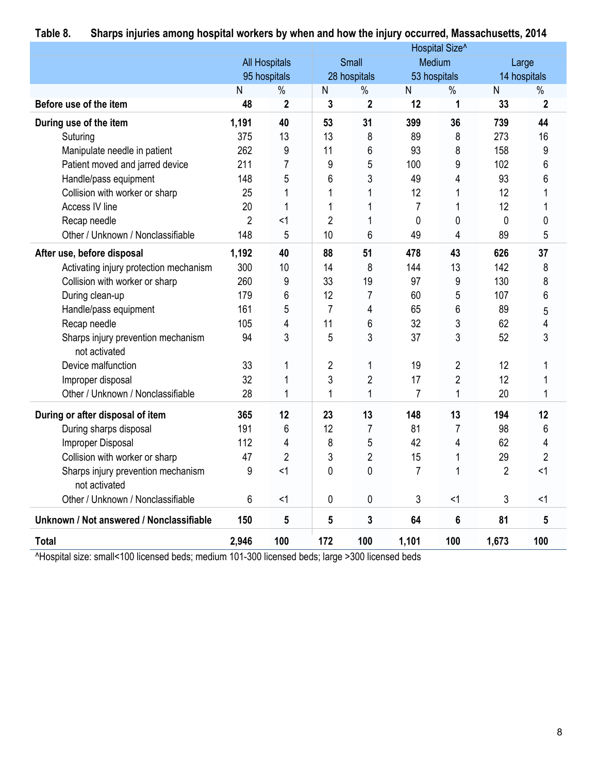|                                                     |                |                      |                |                |                | Hospital Size <sup>^</sup> |                |                |
|-----------------------------------------------------|----------------|----------------------|----------------|----------------|----------------|----------------------------|----------------|----------------|
|                                                     |                | <b>All Hospitals</b> |                | Small          |                | Medium                     |                | Large          |
|                                                     |                | 95 hospitals         |                | 28 hospitals   |                | 53 hospitals               |                | 14 hospitals   |
|                                                     | $\mathsf{N}$   | $\frac{0}{0}$        | $\mathsf{N}$   | $\%$           | $\overline{N}$ | $\frac{0}{6}$              | N              | $\%$           |
| Before use of the item                              | 48             | $\mathbf{2}$         | 3              | $\mathbf 2$    | 12             | 1                          | 33             | $\mathbf 2$    |
| During use of the item                              | 1,191          | 40                   | 53             | 31             | 399            | 36                         | 739            | 44             |
| Suturing                                            | 375            | 13                   | 13             | 8              | 89             | 8                          | 273            | 16             |
| Manipulate needle in patient                        | 262            | 9                    | 11             | 6              | 93             | 8                          | 158            | 9              |
| Patient moved and jarred device                     | 211            | $\overline{7}$       | 9              | 5              | 100            | 9                          | 102            | 6              |
| Handle/pass equipment                               | 148            | 5                    | 6              | 3              | 49             | 4                          | 93             | 6              |
| Collision with worker or sharp                      | 25             | 1                    | 1              | 1              | 12             | 1                          | 12             | 1              |
| Access IV line                                      | 20             | 1                    | 1              | 1              | $\overline{7}$ | 1                          | 12             | 1              |
| Recap needle                                        | $\overline{2}$ | $<$ 1                | $\overline{2}$ | 1              | $\pmb{0}$      | 0                          | $\pmb{0}$      | 0              |
| Other / Unknown / Nonclassifiable                   | 148            | 5                    | 10             | 6              | 49             | 4                          | 89             | 5              |
| After use, before disposal                          | 1,192          | 40                   | 88             | 51             | 478            | 43                         | 626            | 37             |
| Activating injury protection mechanism              | 300            | 10                   | 14             | 8              | 144            | 13                         | 142            | 8              |
| Collision with worker or sharp                      | 260            | 9                    | 33             | 19             | 97             | 9                          | 130            | 8              |
| During clean-up                                     | 179            | 6                    | 12             | $\overline{7}$ | 60             | 5                          | 107            | 6              |
| Handle/pass equipment                               | 161            | 5                    | $\overline{7}$ | 4              | 65             | 6                          | 89             | 5              |
| Recap needle                                        | 105            | $\overline{4}$       | 11             | 6              | 32             | 3                          | 62             | 4              |
| Sharps injury prevention mechanism<br>not activated | 94             | 3                    | 5              | 3              | 37             | 3                          | 52             | 3              |
| Device malfunction                                  | 33             | 1                    | $\overline{2}$ | 1              | 19             | $\overline{2}$             | 12             |                |
| Improper disposal                                   | 32             |                      | 3              | $\overline{c}$ | 17             | $\overline{2}$             | 12             | 1              |
| Other / Unknown / Nonclassifiable                   | 28             | 1                    | $\mathbf{1}$   | 1              | $\overline{7}$ | $\mathbf{1}$               | 20             | 1              |
| During or after disposal of item                    | 365            | 12                   | 23             | 13             | 148            | 13                         | 194            | 12             |
| During sharps disposal                              | 191            | 6                    | 12             | 7              | 81             | 7                          | 98             | 6              |
| Improper Disposal                                   | 112            | 4                    | 8              | 5              | 42             | 4                          | 62             | 4              |
| Collision with worker or sharp                      | 47             | $\overline{2}$       | 3              | $\overline{2}$ | 15             | 1                          | 29             | $\overline{c}$ |
| Sharps injury prevention mechanism<br>not activated | 9              | $<$ 1                | $\mathbf 0$    | $\mathbf 0$    | $\overline{7}$ | $\mathbf{1}$               | $\overline{2}$ | <1             |
| Other / Unknown / Nonclassifiable                   | 6              | $<$ 1                | 0              | 0              | 3              | <1                         | 3              | <1             |
| Unknown / Not answered / Nonclassifiable            | 150            | 5                    | 5              | 3              | 64             | 6                          | 81             | 5              |
| <b>Total</b>                                        | 2,946          | 100                  | 172            | 100            | 1,101          | 100                        | 1,673          | 100            |

#### **Table 8. Sharps injuries among hospital workers by when and how the injury occurred, Massachusetts, 2014**

^Hospital size: small<100 licensed beds; medium 101-300 licensed beds; large >300 licensed beds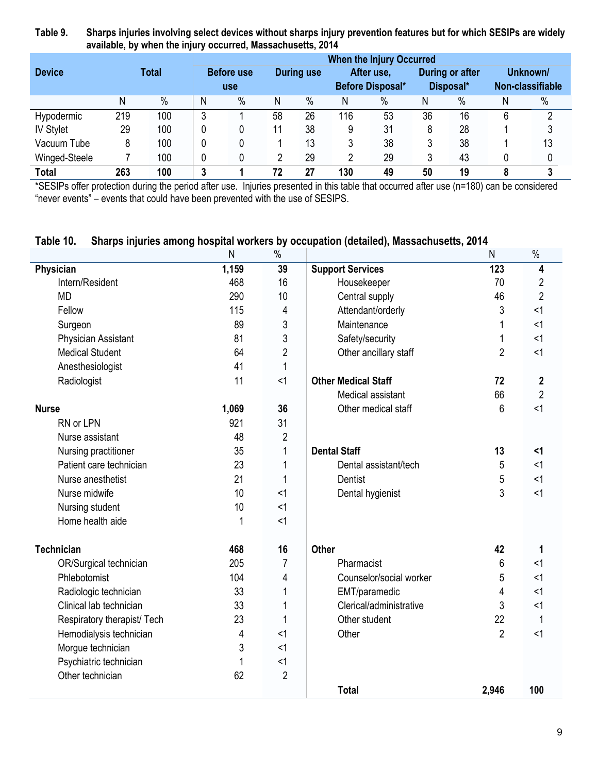**Table 9. Sharps injuries involving select devices without sharps injury prevention features but for which SESIPs are widely available, by when the injury occurred, Massachusetts, 2014** 

|                  |     |              |   |                                 |    |                   |     | <b>When the Injury Occurred</b>       |    |                                     |   |                              |
|------------------|-----|--------------|---|---------------------------------|----|-------------------|-----|---------------------------------------|----|-------------------------------------|---|------------------------------|
| <b>Device</b>    |     | <b>Total</b> |   | <b>Before use</b><br><b>use</b> |    | <b>During use</b> |     | After use.<br><b>Before Disposal*</b> |    | <b>During or after</b><br>Disposal* |   | Unknown/<br>Non-classifiable |
|                  | Ν   | $\%$         | Ν | $\%$                            | Ν  | $\frac{0}{0}$     | Ν   | $\%$                                  | Ν  | $\%$                                | Ν | $\%$                         |
| Hypodermic       | 219 | 100          | 3 |                                 | 58 | 26                | 116 | 53                                    | 36 | 16                                  | 6 | 2                            |
| <b>IV Stylet</b> | 29  | 100          |   | 0                               | 11 | 38                | 9   | 31                                    | 8  | 28                                  |   | 3                            |
| Vacuum Tube      | 8   | 100          |   | 0                               |    | 13                | 3   | 38                                    |    | 38                                  |   | 13                           |
| Winged-Steele    |     | 100          |   | 0                               |    | 29                | 2   | 29                                    | 3  | 43                                  |   |                              |
| <b>Total</b>     | 263 | 100          | າ |                                 | 72 | 27                | 130 | 49                                    | 50 | 19                                  | 8 | 3                            |

\*SESIPs offer protection during the period after use. Injuries presented in this table that occurred after use (n=180) can be considered "never events" – events that could have been prevented with the use of SESIPS.

#### **Table 10. Sharps injuries among hospital workers by occupation (detailed), Massachusetts, 2014**

|                             | N     | $\%$           |                            | N              | $\%$           |
|-----------------------------|-------|----------------|----------------------------|----------------|----------------|
| Physician                   | 1,159 | 39             | <b>Support Services</b>    | 123            | 4              |
| Intern/Resident             | 468   | 16             | Housekeeper                | 70             | $\overline{2}$ |
| <b>MD</b>                   | 290   | 10             | Central supply             | 46             | $\overline{2}$ |
| Fellow                      | 115   | 4              | Attendant/orderly          | 3              | $<$ 1          |
| Surgeon                     | 89    | 3              | Maintenance                | 1              | $<$ 1          |
| Physician Assistant         | 81    | 3              | Safety/security            | 1              | $<$ 1          |
| <b>Medical Student</b>      | 64    | $\overline{2}$ | Other ancillary staff      | $\overline{2}$ | $<$ 1          |
| Anesthesiologist            | 41    | 1              |                            |                |                |
| Radiologist                 | 11    | $<$ 1          | <b>Other Medical Staff</b> | 72             | $\mathbf 2$    |
|                             |       |                | Medical assistant          | 66             | $\overline{2}$ |
| <b>Nurse</b>                | 1,069 | 36             | Other medical staff        | 6              | <1             |
| RN or LPN                   | 921   | 31             |                            |                |                |
| Nurse assistant             | 48    | $\overline{2}$ |                            |                |                |
| Nursing practitioner        | 35    | 1              | <b>Dental Staff</b>        | 13             | $\leq$ 1       |
| Patient care technician     | 23    | 1              | Dental assistant/tech      | 5              | $<$ 1          |
| Nurse anesthetist           | 21    |                | Dentist                    | 5              | <1             |
| Nurse midwife               | 10    | $<$ 1          | Dental hygienist           | 3              | $1$            |
| Nursing student             | 10    | $<$ 1          |                            |                |                |
| Home health aide            | 1     | <1             |                            |                |                |
| <b>Technician</b>           | 468   | 16             | <b>Other</b>               | 42             | 1              |
| OR/Surgical technician      | 205   | $\overline{7}$ | Pharmacist                 | 6              | $<$ 1          |
| Phlebotomist                | 104   | 4              | Counselor/social worker    | 5              | $<$ 1          |
| Radiologic technician       | 33    | 1              | EMT/paramedic              | 4              | $<$ 1          |
| Clinical lab technician     | 33    |                | Clerical/administrative    | 3              | $<$ 1          |
| Respiratory therapist/ Tech | 23    |                | Other student              | 22             | 1              |
| Hemodialysis technician     | 4     | $<$ 1          | Other                      | $\overline{2}$ | $<$ 1          |
| Morgue technician           | 3     | <1             |                            |                |                |
| Psychiatric technician      | 1     | <1             |                            |                |                |
| Other technician            | 62    | $\overline{2}$ |                            |                |                |
|                             |       |                | <b>Total</b>               | 2,946          | 100            |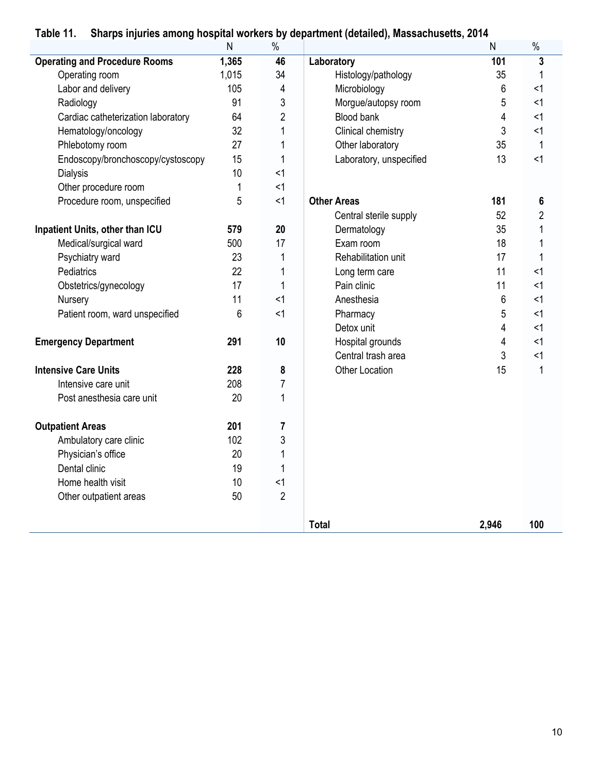#### **Table 11. Sharps injuries among hospital workers by department (detailed), Massachusetts, 2014**

|                                      | N     | $\%$           |                         | ${\sf N}$ | $\%$           |
|--------------------------------------|-------|----------------|-------------------------|-----------|----------------|
| <b>Operating and Procedure Rooms</b> | 1,365 | 46             | Laboratory              | 101       | 3              |
| Operating room                       | 1,015 | 34             | Histology/pathology     | 35        |                |
| Labor and delivery                   | 105   | 4              | Microbiology            | 6         | $<$ 1          |
| Radiology                            | 91    | 3              | Morgue/autopsy room     | 5         | $<$ 1          |
| Cardiac catheterization laboratory   | 64    | $\overline{2}$ | Blood bank              | 4         | $<$ 1          |
| Hematology/oncology                  | 32    | 1              | Clinical chemistry      | 3         | <1             |
| Phlebotomy room                      | 27    | 1              | Other laboratory        | 35        | $\mathbf 1$    |
| Endoscopy/bronchoscopy/cystoscopy    | 15    | 1              | Laboratory, unspecified | 13        | $<$ 1          |
| <b>Dialysis</b>                      | 10    | $<$ 1          |                         |           |                |
| Other procedure room                 | 1     | <1             |                         |           |                |
| Procedure room, unspecified          | 5     | $<$ 1          | <b>Other Areas</b>      | 181       | 6              |
|                                      |       |                | Central sterile supply  | 52        | $\overline{c}$ |
| Inpatient Units, other than ICU      | 579   | 20             | Dermatology             | 35        | 1              |
| Medical/surgical ward                | 500   | 17             | Exam room               | 18        | 1              |
| Psychiatry ward                      | 23    | 1              | Rehabilitation unit     | 17        | 1              |
| Pediatrics                           | 22    | 1              | Long term care          | 11        | $<$ 1          |
| Obstetrics/gynecology                | 17    | 1              | Pain clinic             | 11        | $<$ 1          |
| Nursery                              | 11    | $<$ 1          | Anesthesia              | 6         | $<$ 1          |
| Patient room, ward unspecified       | 6     | <1             | Pharmacy                | 5         | $<$ 1          |
|                                      |       |                | Detox unit              | 4         | <1             |
| <b>Emergency Department</b>          | 291   | 10             | Hospital grounds        | 4         | $<$ 1          |
|                                      |       |                | Central trash area      | 3         | <1             |
| <b>Intensive Care Units</b>          | 228   | 8              | <b>Other Location</b>   | 15        | 1              |
| Intensive care unit                  | 208   | $\overline{7}$ |                         |           |                |
| Post anesthesia care unit            | 20    | $\mathbf{1}$   |                         |           |                |
|                                      |       |                |                         |           |                |
| <b>Outpatient Areas</b>              | 201   | $\overline{7}$ |                         |           |                |
| Ambulatory care clinic               | 102   | 3              |                         |           |                |
| Physician's office                   | 20    |                |                         |           |                |
| Dental clinic                        | 19    | 1              |                         |           |                |
| Home health visit                    | 10    | <1             |                         |           |                |
| Other outpatient areas               | 50    | $\overline{2}$ |                         |           |                |
|                                      |       |                |                         |           |                |
|                                      |       |                | <b>Total</b>            | 2,946     | 100            |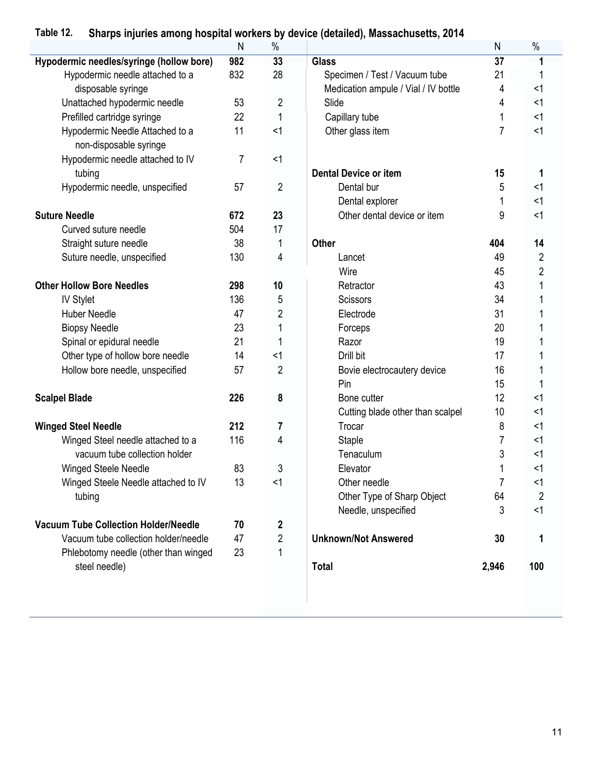#### **Table 12. Sharps injuries among hospital workers by device (detailed), Massachusetts, 2014**

|                                                           | N   | $\%$             |                                      | ${\sf N}$      | %              |
|-----------------------------------------------------------|-----|------------------|--------------------------------------|----------------|----------------|
| Hypodermic needles/syringe (hollow bore)                  | 982 | 33               | <b>Glass</b>                         | 37             |                |
| Hypodermic needle attached to a                           | 832 | 28               | Specimen / Test / Vacuum tube        | 21             |                |
| disposable syringe                                        |     |                  | Medication ampule / Vial / IV bottle | 4              | <1             |
| Unattached hypodermic needle                              | 53  | $\overline{2}$   | Slide                                | 4              | $<$ 1          |
| Prefilled cartridge syringe                               | 22  | 1                | Capillary tube                       |                | $<$ 1          |
| Hypodermic Needle Attached to a<br>non-disposable syringe | 11  | $<$ 1            | Other glass item                     | 7              | $<$ 1          |
| Hypodermic needle attached to IV                          | 7   | <1               |                                      |                |                |
| tubing                                                    |     |                  | <b>Dental Device or item</b>         | 15             | 1              |
| Hypodermic needle, unspecified                            | 57  | $\overline{2}$   | Dental bur                           | 5              | $<$ 1          |
|                                                           |     |                  | Dental explorer                      | 1              | $<$ 1          |
| <b>Suture Needle</b>                                      | 672 | 23               | Other dental device or item          | 9              | $<$ 1          |
| Curved suture needle                                      | 504 | 17               |                                      |                |                |
| Straight suture needle                                    | 38  | 1                | <b>Other</b>                         | 404            | 14             |
| Suture needle, unspecified                                | 130 | 4                | Lancet                               | 49             | 2              |
|                                                           |     |                  | Wire                                 | 45             | $\overline{2}$ |
| <b>Other Hollow Bore Needles</b>                          | 298 | 10               | Retractor                            | 43             |                |
| <b>IV Stylet</b>                                          | 136 | 5                | <b>Scissors</b>                      | 34             |                |
| <b>Huber Needle</b>                                       | 47  | 2                | Electrode                            | 31             |                |
| <b>Biopsy Needle</b>                                      | 23  |                  | Forceps                              | 20             |                |
| Spinal or epidural needle                                 | 21  |                  | Razor                                | 19             |                |
| Other type of hollow bore needle                          | 14  | <1               | Drill bit                            | 17             |                |
| Hollow bore needle, unspecified                           | 57  | $\overline{2}$   | Bovie electrocautery device          | 16             |                |
|                                                           |     |                  | Pin                                  | 15             |                |
| <b>Scalpel Blade</b>                                      | 226 | 8                | Bone cutter                          | 12             | <1             |
|                                                           |     |                  | Cutting blade other than scalpel     | 10             | $<$ 1          |
| <b>Winged Steel Needle</b>                                | 212 | 7                | Trocar                               | 8              | $<$ 1          |
| Winged Steel needle attached to a                         | 116 | 4                | Staple                               | 7              | $<$ 1          |
| vacuum tube collection holder                             |     |                  | Tenaculum                            | 3              | $<$ 1          |
| Winged Steele Needle                                      | 83  | 3                | Elevator                             |                | $<$ 1          |
| Winged Steele Needle attached to IV                       | 13  | $<$ 1            | Other needle                         | $\overline{7}$ | $<$ 1          |
| tubing                                                    |     |                  | Other Type of Sharp Object           | 64             | $\overline{2}$ |
|                                                           |     |                  | Needle, unspecified                  | 3              | <1             |
| <b>Vacuum Tube Collection Holder/Needle</b>               | 70  | $\boldsymbol{2}$ |                                      |                |                |
| Vacuum tube collection holder/needle                      | 47  | $\sqrt{2}$       | <b>Unknown/Not Answered</b>          | 30             | 1              |
| Phlebotomy needle (other than winged                      | 23  | 1                |                                      |                |                |
| steel needle)                                             |     |                  | <b>Total</b>                         | 2,946          | 100            |
|                                                           |     |                  |                                      |                |                |